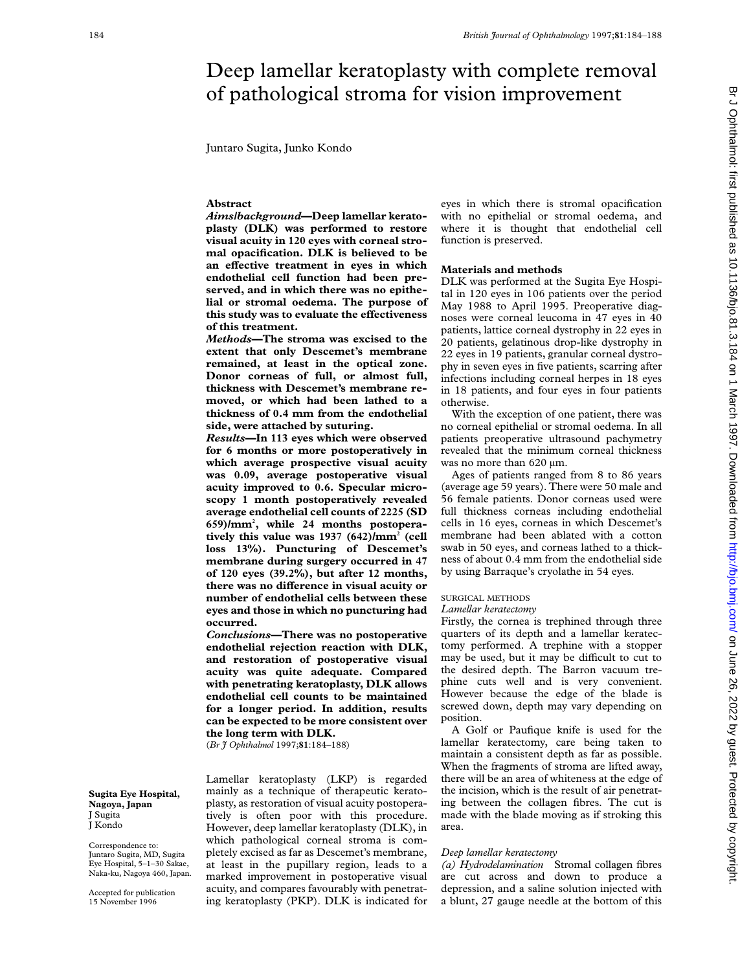# Deep lamellar keratoplasty with complete removal of pathological stroma for vision improvement

Juntaro Sugita, Junko Kondo

## **Abstract**

*Aims/background***—Deep lamellar keratoplasty (DLK) was performed to restore visual acuity in 120 eyes with corneal stromal opacification. DLK is believed to be** an effective treatment in eyes in which **endothelial cell function had been preserved, and in which there was no epithelial or stromal oedema. The purpose of this study was to evaluate the effectiveness of this treatment.**

*Methods***—The stroma was excised to the extent that only Descemet's membrane remained, at least in the optical zone. Donor corneas of full, or almost full, thickness with Descemet's membrane removed, or which had been lathed to a thickness of 0.4 mm from the endothelial side, were attached by suturing.**

*Results***—In 113 eyes which were observed for 6 months or more postoperatively in which average prospective visual acuity was 0.09, average postoperative visual acuity improved to 0.6. Specular microscopy 1 month postoperatively revealed average endothelial cell counts of 2225 (SD 659)/mm2 , while 24 months postoperatively this value was 1937 (642)/mm2 (cell loss 13%). Puncturing of Descemet's membrane during surgery occurred in 47 of 120 eyes (39.2%), but after 12 months,** there was no difference in visual acuity or **number of endothelial cells between these eyes and those in which no puncturing had occurred.**

*Conclusions***—There was no postoperative endothelial rejection reaction with DLK, and restoration of postoperative visual acuity was quite adequate. Compared with penetrating keratoplasty, DLK allows endothelial cell counts to be maintained for a longer period. In addition, results can be expected to be more consistent over the long term with DLK.**

Lamellar keratoplasty (LKP) is regarded mainly as a technique of therapeutic keratoplasty, as restoration of visual acuity postoperatively is often poor with this procedure. However, deep lamellar keratoplasty (DLK), in which pathological corneal stroma is completely excised as far as Descemet's membrane, at least in the pupillary region, leads to a marked improvement in postoperative visual acuity, and compares favourably with penetrating keratoplasty (PKP). DLK is indicated for

(*Br J Ophthalmol* 1997;**81**:184–188)

**Sugita Eye Hospital, Nagoya, Japan** J Sugita J Kondo

Correspondence to: Juntaro Sugita, MD, Sugita Eye Hospital, 5–1–30 Sakae, Naka-ku, Nagoya 460, Japan.

Accepted for publication 15 November 1996

eyes in which there is stromal opacification with no epithelial or stromal oedema, and where it is thought that endothelial cell function is preserved.

# **Materials and methods**

DLK was performed at the Sugita Eye Hospital in 120 eyes in 106 patients over the period May 1988 to April 1995. Preoperative diagnoses were corneal leucoma in 47 eyes in 40 patients, lattice corneal dystrophy in 22 eyes in 20 patients, gelatinous drop-like dystrophy in 22 eyes in 19 patients, granular corneal dystrophy in seven eyes in five patients, scarring after infections including corneal herpes in 18 eyes in 18 patients, and four eyes in four patients otherwise.

With the exception of one patient, there was no corneal epithelial or stromal oedema. In all patients preoperative ultrasound pachymetry revealed that the minimum corneal thickness was no more than 620 um.

Ages of patients ranged from 8 to 86 years (average age 59 years). There were 50 male and 56 female patients. Donor corneas used were full thickness corneas including endothelial cells in 16 eyes, corneas in which Descemet's membrane had been ablated with a cotton swab in 50 eyes, and corneas lathed to a thickness of about 0.4 mm from the endothelial side by using Barraque's cryolathe in 54 eyes.

### SURGICAL METHODS

#### *Lamellar keratectomy*

Firstly, the cornea is trephined through three quarters of its depth and a lamellar keratectomy performed. A trephine with a stopper may be used, but it may be difficult to cut to the desired depth. The Barron vacuum trephine cuts well and is very convenient. However because the edge of the blade is screwed down, depth may vary depending on position.

A Golf or Paufique knife is used for the lamellar keratectomy, care being taken to maintain a consistent depth as far as possible. When the fragments of stroma are lifted away, there will be an area of whiteness at the edge of the incision, which is the result of air penetrating between the collagen fibres. The cut is made with the blade moving as if stroking this area.

## *Deep lamellar keratectomy*

*(a) Hydrodelamination* Stromal collagen fibres are cut across and down to produce a depression, and a saline solution injected with a blunt, 27 gauge needle at the bottom of this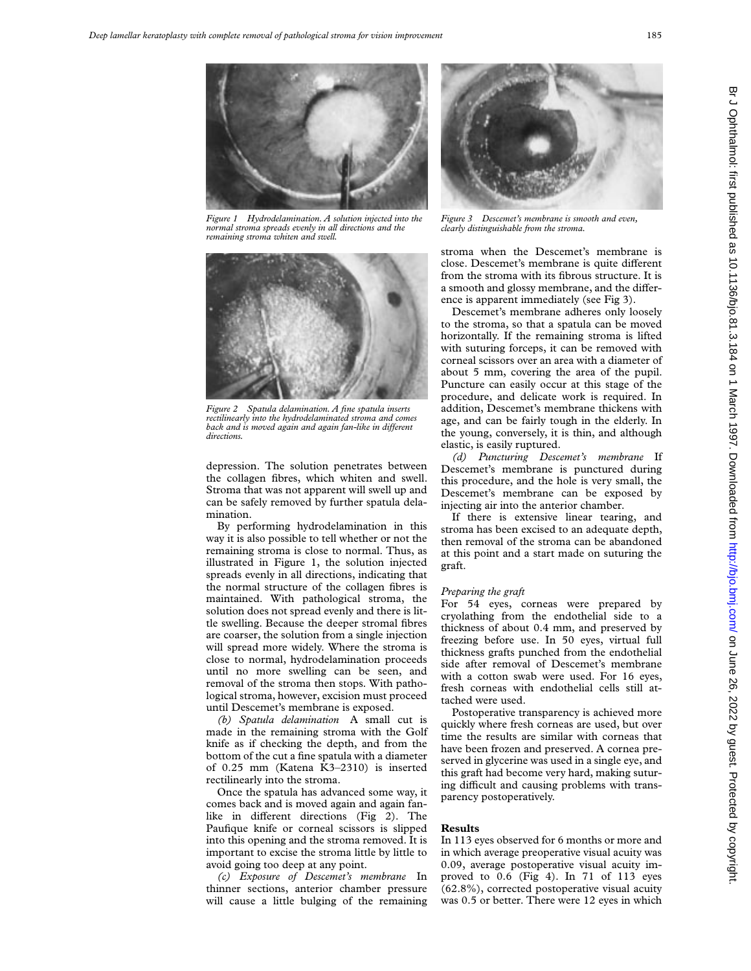

*Figure 1 Hydrodelamination. A solution injected into the normal stroma spreads evenly in all directions and the remaining stroma whiten and swell.*



*Figure 2 Spatula delamination. A fine spatula inserts rectilinearly into the hydrodelaminated stroma and comes back and is moved again and again fan-like in different directions.*

depression. The solution penetrates between the collagen fibres, which whiten and swell. Stroma that was not apparent will swell up and can be safely removed by further spatula delamination.

By performing hydrodelamination in this way it is also possible to tell whether or not the remaining stroma is close to normal. Thus, as illustrated in Figure 1, the solution injected spreads evenly in all directions, indicating that the normal structure of the collagen fibres is maintained. With pathological stroma, the solution does not spread evenly and there is little swelling. Because the deeper stromal fibres are coarser, the solution from a single injection will spread more widely. Where the stroma is close to normal, hydrodelamination proceeds until no more swelling can be seen, and removal of the stroma then stops. With pathological stroma, however, excision must proceed until Descemet's membrane is exposed.

*(b) Spatula delamination* A small cut is made in the remaining stroma with the Golf knife as if checking the depth, and from the bottom of the cut a fine spatula with a diameter of 0.25 mm (Katena K3–2310) is inserted rectilinearly into the stroma.

Once the spatula has advanced some way, it comes back and is moved again and again fanlike in different directions (Fig 2). The Paufique knife or corneal scissors is slipped into this opening and the stroma removed. It is important to excise the stroma little by little to avoid going too deep at any point.

*(c) Exposure of Descemet's membrane* In thinner sections, anterior chamber pressure will cause a little bulging of the remaining



*Figure 3 Descemet's membrane is smooth and even, clearly distinguishable from the stroma.*

stroma when the Descemet's membrane is close. Descemet's membrane is quite different from the stroma with its fibrous structure. It is a smooth and glossy membrane, and the difference is apparent immediately (see Fig 3).

Descemet's membrane adheres only loosely to the stroma, so that a spatula can be moved horizontally. If the remaining stroma is lifted with suturing forceps, it can be removed with corneal scissors over an area with a diameter of about 5 mm, covering the area of the pupil. Puncture can easily occur at this stage of the procedure, and delicate work is required. In addition, Descemet's membrane thickens with age, and can be fairly tough in the elderly. In the young, conversely, it is thin, and although elastic, is easily ruptured.

*(d) Puncturing Descemet's membrane* If Descemet's membrane is punctured during this procedure, and the hole is very small, the Descemet's membrane can be exposed by injecting air into the anterior chamber.

If there is extensive linear tearing, and stroma has been excised to an adequate depth, then removal of the stroma can be abandoned at this point and a start made on suturing the graft.

## *Preparing the graft*

For 54 eyes, corneas were prepared by cryolathing from the endothelial side to a thickness of about 0.4 mm, and preserved by freezing before use. In 50 eyes, virtual full thickness grafts punched from the endothelial side after removal of Descemet's membrane with a cotton swab were used. For 16 eyes, fresh corneas with endothelial cells still attached were used.

Postoperative transparency is achieved more quickly where fresh corneas are used, but over time the results are similar with corneas that have been frozen and preserved. A cornea preserved in glycerine was used in a single eye, and this graft had become very hard, making suturing difficult and causing problems with transparency postoperatively.

## **Results**

In 113 eyes observed for 6 months or more and in which average preoperative visual acuity was 0.09, average postoperative visual acuity improved to 0.6 (Fig 4). In 71 of 113 eyes (62.8%), corrected postoperative visual acuity was 0.5 or better. There were 12 eyes in which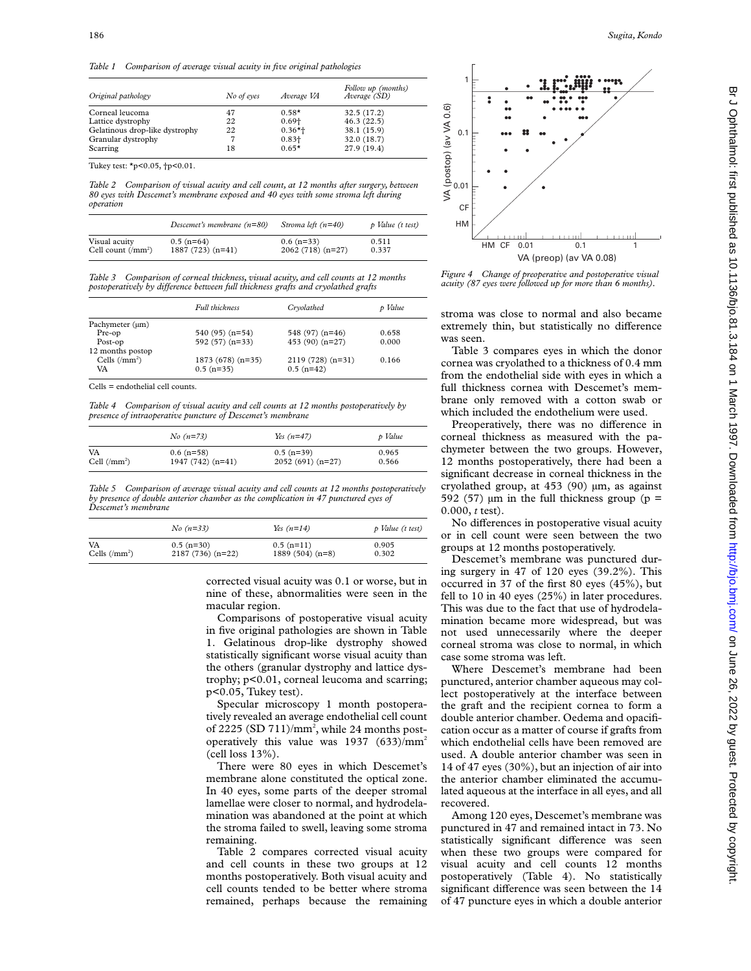| Original pathology             | No of eyes | Average VA | Follow up (months)<br>Average (SD) |
|--------------------------------|------------|------------|------------------------------------|
| Corneal leucoma                | 47         | $0.58*$    | 32.5(17.2)                         |
| Lattice dystrophy              | 22         | $0.69 +$   | 46.3(22.5)                         |
| Gelatinous drop-like dystrophy | 22         | $0.36*+$   | 38.1 (15.9)                        |
| Granular dystrophy             |            | $0.83 +$   | 32.0 (18.7)                        |
| Scarring                       | 18         | $0.65*$    | 27.9 (19.4)                        |

Tukey test: \*p<0.05, †p<0.01.

*Table 2 Comparison of visual acuity and cell count, at 12 months after surgery, between 80 eyes with Descemet's membrane exposed and 40 eyes with some stroma left during operation*

|                             | Descemet's membrane $(n=80)$ | Stroma left $(n=40)$ | p Value (t test) |
|-----------------------------|------------------------------|----------------------|------------------|
| Visual acuity               | $0.5$ (n=64)                 | $0.6$ (n=33)         | 0.511            |
| Cell count $(\text{/mm}^2)$ | $1887(723)(n=41)$            | $2062(718)(n=27)$    | 0.337            |

*Table 3 Comparison of corneal thickness, visual acuity, and cell counts at 12 months postoperatively by diVerence between full thickness grafts and cryolathed grafts*

|                        | <b>Full thickness</b>             | Cryolathed                        | p Value |
|------------------------|-----------------------------------|-----------------------------------|---------|
| Pachymeter (µm)        |                                   |                                   |         |
| Pre-op                 | $540(95)$ (n=54)                  | 548 $(97)$ $(n=46)$               | 0.658   |
| Post-op                | $592(57)(n=33)$                   | 453 $(90)$ $(n=27)$               | 0.000   |
| 12 months postop       |                                   |                                   |         |
| Cells $( / mm2)$<br>VA | $1873(678)(n=35)$<br>$0.5$ (n=35) | $2119(728)(n=31)$<br>$0.5$ (n=42) | 0.166   |

Cells = endothelial cell counts.

*Table 4 Comparison of visual acuity and cell counts at 12 months postoperatively by presence of intraoperative puncture of Descemet's membrane*

|                      | $No(n=73)$        | $Yes(n=47)$       | p Value |
|----------------------|-------------------|-------------------|---------|
| VA                   | $0.6$ (n=58)      | $0.5$ (n=39)      | 0.965   |
| Cell $(\text{mm}^2)$ | $1947(742)(n=41)$ | $2052(691)(n=27)$ | 0.566   |

*Table 5 Comparison of average visual acuity and cell counts at 12 months postoperatively by presence of double anterior chamber as the complication in 47 punctured eyes of Descemet's membrane*

|                        | $No(n=33)$        | Yes $(n=14)$     | p Value (t test) |
|------------------------|-------------------|------------------|------------------|
| VA                     | $0.5$ (n=30)      | $0.5$ (n=11)     | 0.905            |
| Cells $(\text{/mm}^2)$ | $2187(736)(n=22)$ | $1889(504)(n=8)$ | 0.302            |

corrected visual acuity was 0.1 or worse, but in nine of these, abnormalities were seen in the macular region.

Comparisons of postoperative visual acuity in five original pathologies are shown in Table 1. Gelatinous drop-like dystrophy showed statistically significant worse visual acuity than the others (granular dystrophy and lattice dystrophy; p<0.01, corneal leucoma and scarring; p<0.05, Tukey test).

Specular microscopy 1 month postoperatively revealed an average endothelial cell count of 2225 (SD  $711$ )/mm<sup>2</sup>, while 24 months postoperatively this value was 1937 (633)/mm2 (cell loss 13%).

There were 80 eyes in which Descemet's membrane alone constituted the optical zone. In 40 eyes, some parts of the deeper stromal lamellae were closer to normal, and hydrodelamination was abandoned at the point at which the stroma failed to swell, leaving some stroma remaining.

Table 2 compares corrected visual acuity and cell counts in these two groups at 12 months postoperatively. Both visual acuity and cell counts tended to be better where stroma remained, perhaps because the remaining



*Figure 4 Change of preoperative and postoperative visual acuity (87 eyes were followed up for more than 6 months).*

stroma was close to normal and also became extremely thin, but statistically no difference was seen.

Table 3 compares eyes in which the donor cornea was cryolathed to a thickness of 0.4 mm from the endothelial side with eyes in which a full thickness cornea with Descemet's membrane only removed with a cotton swab or which included the endothelium were used.

Preoperatively, there was no difference in corneal thickness as measured with the pachymeter between the two groups. However, 12 months postoperatively, there had been a significant decrease in corneal thickness in the cryolathed group, at 453 (90) µm, as against 592 (57)  $\mu$ m in the full thickness group (p = 0.000, *t* test).

No differences in postoperative visual acuity or in cell count were seen between the two groups at 12 months postoperatively.

Descemet's membrane was punctured during surgery in 47 of 120 eyes (39.2%). This occurred in 37 of the first 80 eyes (45%), but fell to 10 in 40 eyes (25%) in later procedures. This was due to the fact that use of hydrodelamination became more widespread, but was not used unnecessarily where the deeper corneal stroma was close to normal, in which case some stroma was left.

Where Descemet's membrane had been punctured, anterior chamber aqueous may collect postoperatively at the interface between the graft and the recipient cornea to form a double anterior chamber. Oedema and opacification occur as a matter of course if grafts from which endothelial cells have been removed are used. A double anterior chamber was seen in 14 of 47 eyes (30%), but an injection of air into the anterior chamber eliminated the accumulated aqueous at the interface in all eyes, and all recovered.

Among 120 eyes, Descemet's membrane was punctured in 47 and remained intact in 73. No statistically significant difference was seen when these two groups were compared for visual acuity and cell counts 12 months postoperatively (Table 4). No statistically significant difference was seen between the 14 of 47 puncture eyes in which a double anterior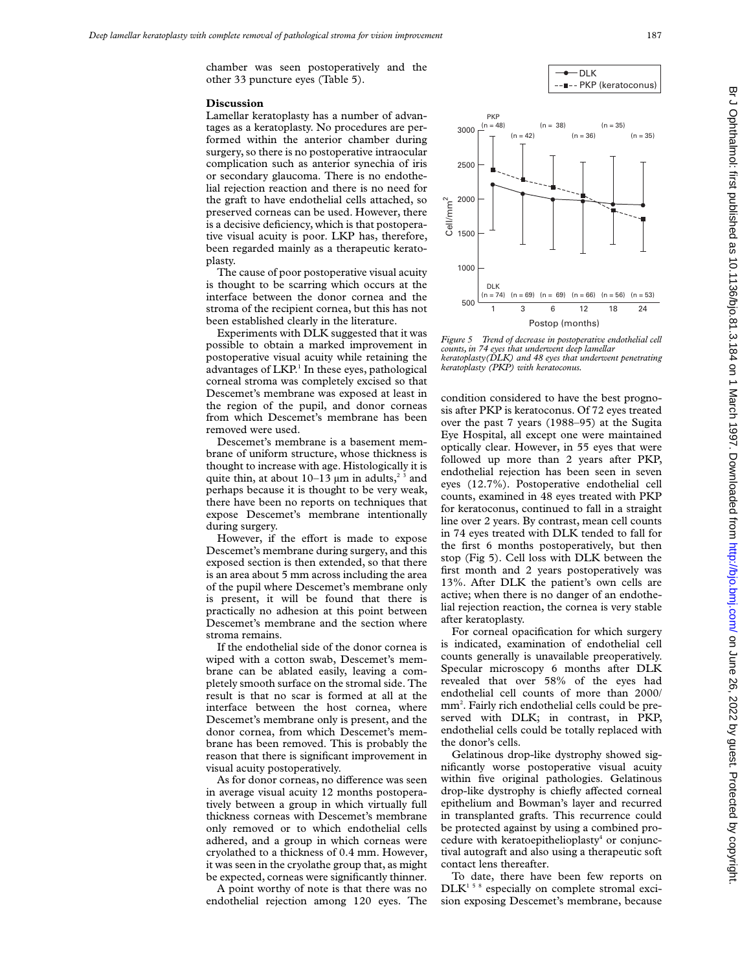chamber was seen postoperatively and the other 33 puncture eyes (Table 5).

#### **Discussion**

Lamellar keratoplasty has a number of advantages as a keratoplasty. No procedures are performed within the anterior chamber during surgery, so there is no postoperative intraocular complication such as anterior synechia of iris or secondary glaucoma. There is no endothelial rejection reaction and there is no need for the graft to have endothelial cells attached, so preserved corneas can be used. However, there is a decisive deficiency, which is that postoperative visual acuity is poor. LKP has, therefore, been regarded mainly as a therapeutic keratoplasty.

The cause of poor postoperative visual acuity is thought to be scarring which occurs at the interface between the donor cornea and the stroma of the recipient cornea, but this has not been established clearly in the literature.

Experiments with DLK suggested that it was possible to obtain a marked improvement in postoperative visual acuity while retaining the advantages of LKP.<sup>1</sup> In these eyes, pathological corneal stroma was completely excised so that Descemet's membrane was exposed at least in the region of the pupil, and donor corneas from which Descemet's membrane has been removed were used.

Descemet's membrane is a basement membrane of uniform structure, whose thickness is thought to increase with age. Histologically it is quite thin, at about  $10-13 \mu m$  in adults,<sup>23</sup> and perhaps because it is thought to be very weak, there have been no reports on techniques that expose Descemet's membrane intentionally during surgery.

However, if the effort is made to expose Descemet's membrane during surgery, and this exposed section is then extended, so that there is an area about 5 mm across including the area of the pupil where Descemet's membrane only is present, it will be found that there is practically no adhesion at this point between Descemet's membrane and the section where stroma remains.

If the endothelial side of the donor cornea is wiped with a cotton swab, Descemet's membrane can be ablated easily, leaving a completely smooth surface on the stromal side. The result is that no scar is formed at all at the interface between the host cornea, where Descemet's membrane only is present, and the donor cornea, from which Descemet's membrane has been removed. This is probably the reason that there is significant improvement in visual acuity postoperatively.

As for donor corneas, no difference was seen in average visual acuity 12 months postoperatively between a group in which virtually full thickness corneas with Descemet's membrane only removed or to which endothelial cells adhered, and a group in which corneas were cryolathed to a thickness of 0.4 mm. However, it was seen in the cryolathe group that, as might be expected, corneas were significantly thinner.

A point worthy of note is that there was no endothelial rejection among 120 eyes. The

DLK

-**BKP** (keratoconus)



*Figure 5 Trend of decrease in postoperative endothelial cell counts, in 74 eyes that underwent deep lamellar keratoplasty(DLK) and 48 eyes that underwent penetrating keratoplasty (PKP) with keratoconus.*

condition considered to have the best prognosis after PKP is keratoconus. Of 72 eyes treated over the past 7 years (1988–95) at the Sugita Eye Hospital, all except one were maintained optically clear. However, in 55 eyes that were followed up more than 2 years after PKP, endothelial rejection has been seen in seven eyes (12.7%). Postoperative endothelial cell counts, examined in 48 eyes treated with PKP for keratoconus, continued to fall in a straight line over 2 years. By contrast, mean cell counts in 74 eyes treated with DLK tended to fall for the first 6 months postoperatively, but then stop (Fig 5). Cell loss with DLK between the first month and 2 years postoperatively was 13%. After DLK the patient's own cells are active; when there is no danger of an endothelial rejection reaction, the cornea is very stable after keratoplasty.

For corneal opacification for which surgery is indicated, examination of endothelial cell counts generally is unavailable preoperatively. Specular microscopy 6 months after DLK revealed that over 58% of the eyes had endothelial cell counts of more than 2000/ mm<sup>2</sup>. Fairly rich endothelial cells could be preserved with DLK; in contrast, in PKP, endothelial cells could be totally replaced with the donor's cells.

Gelatinous drop-like dystrophy showed significantly worse postoperative visual acuity within five original pathologies. Gelatinous drop-like dystrophy is chiefly affected corneal epithelium and Bowman's layer and recurred in transplanted grafts. This recurrence could be protected against by using a combined procedure with keratoepithelioplasty<sup>4</sup> or conjunctival autograft and also using a therapeutic soft contact lens thereafter.

To date, there have been few reports on DLK<sup>158</sup> especially on complete stromal excision exposing Descemet's membrane, because